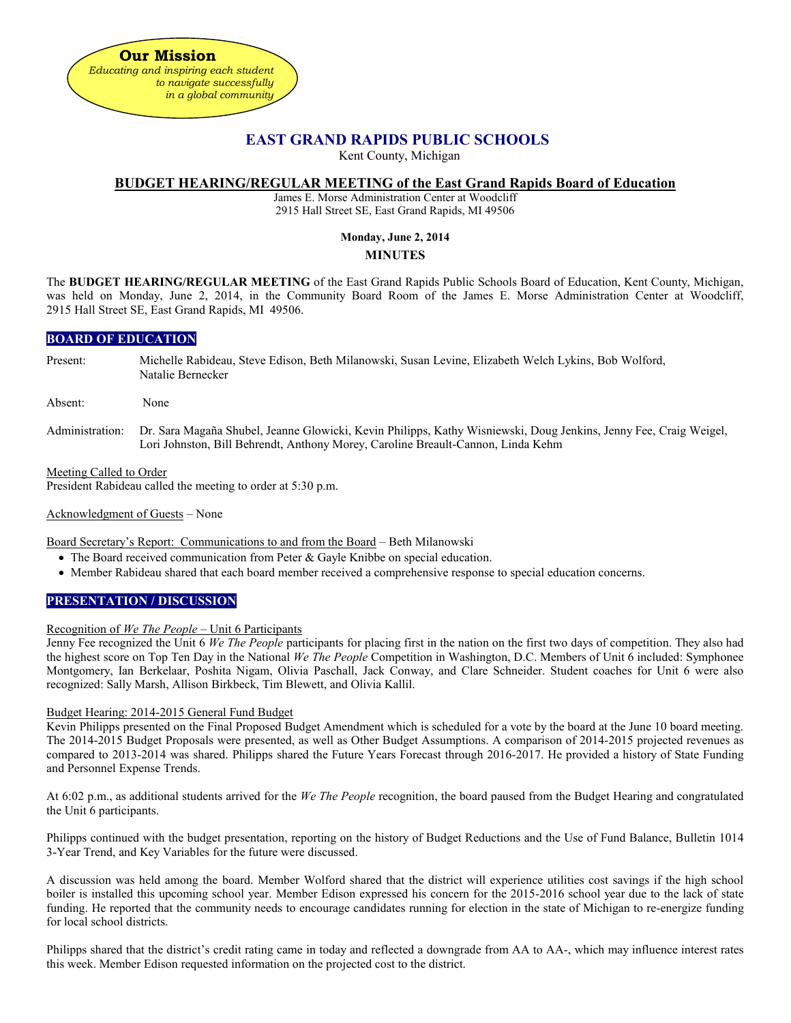

## **EAST GRAND RAPIDS PUBLIC SCHOOLS**

Kent County, Michigan

## **BUDGET HEARING/REGULAR MEETING of the East Grand Rapids Board of Education**

James E. Morse Administration Center at Woodcliff 2915 Hall Street SE, East Grand Rapids, MI 49506

## **Monday, June 2, 2014**

## **MINUTES**

The **BUDGET HEARING/REGULAR MEETING** of the East Grand Rapids Public Schools Board of Education, Kent County, Michigan, was held on Monday, June 2, 2014, in the Community Board Room of the James E. Morse Administration Center at Woodcliff, 2915 Hall Street SE, East Grand Rapids, MI 49506.

## **BOARD OF EDUCATION**

Present: Michelle Rabideau, Steve Edison, Beth Milanowski, Susan Levine, Elizabeth Welch Lykins, Bob Wolford, Natalie Bernecker

Absent: None

Administration: Dr. Sara Magaña Shubel, Jeanne Glowicki, Kevin Philipps, Kathy Wisniewski, Doug Jenkins, Jenny Fee, Craig Weigel, Lori Johnston, Bill Behrendt, Anthony Morey, Caroline Breault-Cannon, Linda Kehm

Meeting Called to Order

President Rabideau called the meeting to order at 5:30 p.m.

Acknowledgment of Guests – None

Board Secretary's Report: Communications to and from the Board – Beth Milanowski

- The Board received communication from Peter & Gayle Knibbe on special education.
- Member Rabideau shared that each board member received a comprehensive response to special education concerns.

## **PRESENTATION / DISCUSSION**

#### Recognition of *We The People* – Unit 6 Participants

Jenny Fee recognized the Unit 6 *We The People* participants for placing first in the nation on the first two days of competition. They also had the highest score on Top Ten Day in the National *We The People* Competition in Washington, D.C. Members of Unit 6 included: Symphonee Montgomery, Ian Berkelaar, Poshita Nigam, Olivia Paschall, Jack Conway, and Clare Schneider. Student coaches for Unit 6 were also recognized: Sally Marsh, Allison Birkbeck, Tim Blewett, and Olivia Kallil.

#### Budget Hearing: 2014-2015 General Fund Budget

Kevin Philipps presented on the Final Proposed Budget Amendment which is scheduled for a vote by the board at the June 10 board meeting. The 2014-2015 Budget Proposals were presented, as well as Other Budget Assumptions. A comparison of 2014-2015 projected revenues as compared to 2013-2014 was shared. Philipps shared the Future Years Forecast through 2016-2017. He provided a history of State Funding and Personnel Expense Trends.

At 6:02 p.m., as additional students arrived for the *We The People* recognition, the board paused from the Budget Hearing and congratulated the Unit 6 participants.

Philipps continued with the budget presentation, reporting on the history of Budget Reductions and the Use of Fund Balance, Bulletin 1014 3-Year Trend, and Key Variables for the future were discussed.

A discussion was held among the board. Member Wolford shared that the district will experience utilities cost savings if the high school boiler is installed this upcoming school year. Member Edison expressed his concern for the 2015-2016 school year due to the lack of state funding. He reported that the community needs to encourage candidates running for election in the state of Michigan to re-energize funding for local school districts.

Philipps shared that the district's credit rating came in today and reflected a downgrade from AA to AA-, which may influence interest rates this week. Member Edison requested information on the projected cost to the district.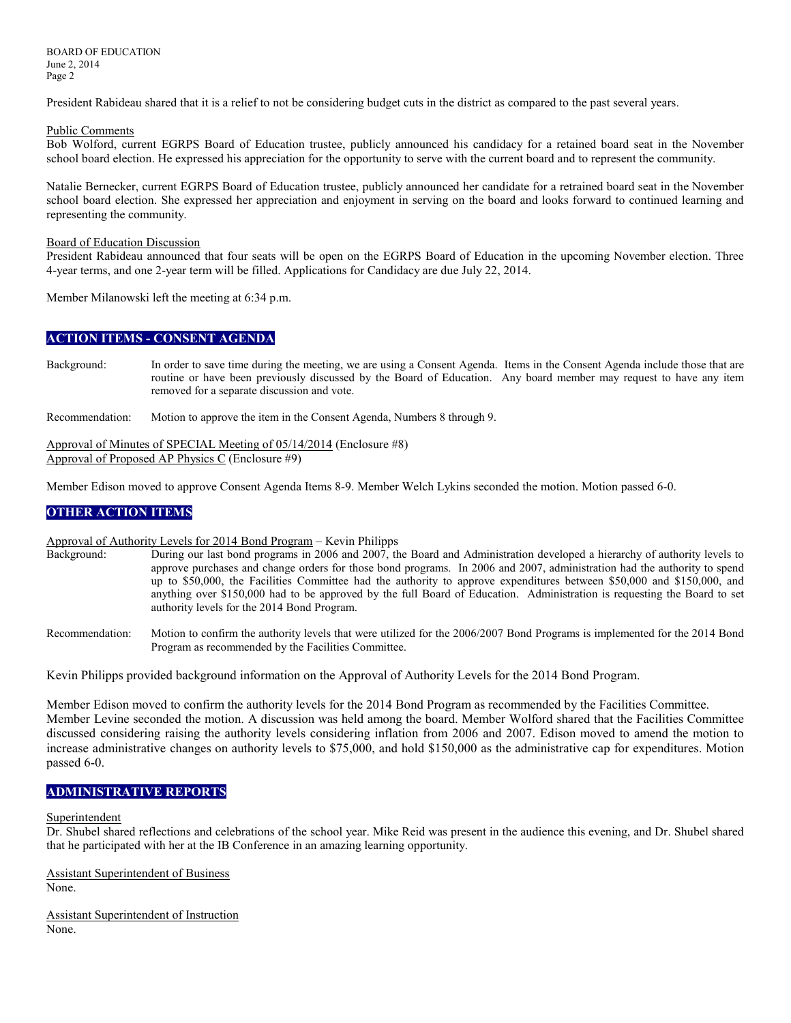BOARD OF EDUCATION June 2, 2014 Page 2

President Rabideau shared that it is a relief to not be considering budget cuts in the district as compared to the past several years.

#### Public Comments

Bob Wolford, current EGRPS Board of Education trustee, publicly announced his candidacy for a retained board seat in the November school board election. He expressed his appreciation for the opportunity to serve with the current board and to represent the community.

Natalie Bernecker, current EGRPS Board of Education trustee, publicly announced her candidate for a retrained board seat in the November school board election. She expressed her appreciation and enjoyment in serving on the board and looks forward to continued learning and representing the community.

#### Board of Education Discussion

President Rabideau announced that four seats will be open on the EGRPS Board of Education in the upcoming November election. Three 4-year terms, and one 2-year term will be filled. Applications for Candidacy are due July 22, 2014.

Member Milanowski left the meeting at 6:34 p.m.

## **ACTION ITEMS - CONSENT AGENDA**

Background: In order to save time during the meeting, we are using a Consent Agenda. Items in the Consent Agenda include those that are routine or have been previously discussed by the Board of Education. Any board member may request to have any item removed for a separate discussion and vote.

Recommendation: Motion to approve the item in the Consent Agenda, Numbers 8 through 9.

Approval of Minutes of SPECIAL Meeting of 05/14/2014 (Enclosure #8) Approval of Proposed AP Physics C (Enclosure #9)

Member Edison moved to approve Consent Agenda Items 8-9. Member Welch Lykins seconded the motion. Motion passed 6-0.

## **OTHER ACTION ITEMS**

# Approval of Authority Levels for 2014 Bond Program – Kevin Philipps<br>Background: During our last bond programs in 2006 and 2007, the

- During our last bond programs in 2006 and 2007, the Board and Administration developed a hierarchy of authority levels to approve purchases and change orders for those bond programs. In 2006 and 2007, administration had the authority to spend up to \$50,000, the Facilities Committee had the authority to approve expenditures between \$50,000 and \$150,000, and anything over \$150,000 had to be approved by the full Board of Education. Administration is requesting the Board to set authority levels for the 2014 Bond Program.
- Recommendation: Motion to confirm the authority levels that were utilized for the 2006/2007 Bond Programs is implemented for the 2014 Bond Program as recommended by the Facilities Committee.

Kevin Philipps provided background information on the Approval of Authority Levels for the 2014 Bond Program.

Member Edison moved to confirm the authority levels for the 2014 Bond Program as recommended by the Facilities Committee. Member Levine seconded the motion. A discussion was held among the board. Member Wolford shared that the Facilities Committee discussed considering raising the authority levels considering inflation from 2006 and 2007. Edison moved to amend the motion to increase administrative changes on authority levels to \$75,000, and hold \$150,000 as the administrative cap for expenditures. Motion passed 6-0.

## **ADMINISTRATIVE REPORTS**

#### **Superintendent**

Dr. Shubel shared reflections and celebrations of the school year. Mike Reid was present in the audience this evening, and Dr. Shubel shared that he participated with her at the IB Conference in an amazing learning opportunity.

Assistant Superintendent of Business None.

Assistant Superintendent of Instruction None.